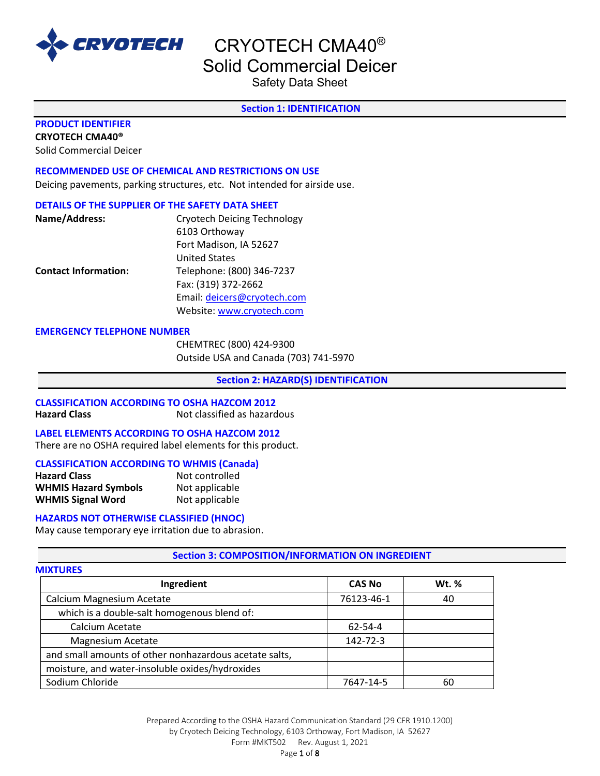

CRYOTECH CRYOTECH CMA40<sup>®</sup>

# Solid Commercial Deicer

Safety Data Sheet

# **Section 1: IDENTIFICATION**

#### **PRODUCT IDENTIFIER**

#### **CRYOTECH CMA40®**

Solid Commercial Deicer

#### **RECOMMENDED USE OF CHEMICAL AND RESTRICTIONS ON USE**

Deicing pavements, parking structures, etc. Not intended for airside use.

#### **DETAILS OF THE SUPPLIER OF THE SAFETY DATA SHEET**

| Name/Address:               | <b>Cryotech Deicing Technology</b> |
|-----------------------------|------------------------------------|
|                             | 6103 Orthoway                      |
|                             | Fort Madison, IA 52627             |
|                             | <b>United States</b>               |
| <b>Contact Information:</b> | Telephone: (800) 346-7237          |
|                             | Fax: (319) 372-2662                |
|                             | Email: deicers@cryotech.com        |
|                             | Website: www.cryotech.com          |

#### **EMERGENCY TELEPHONE NUMBER**

CHEMTREC (800) 424-9300 Outside USA and Canada (703) 741-5970

**Section 2: HAZARD(S) IDENTIFICATION** 

# **CLASSIFICATION ACCORDING TO OSHA HAZCOM 2012**

**Hazard Class** Not classified as hazardous

# **LABEL ELEMENTS ACCORDING TO OSHA HAZCOM 2012**

There are no OSHA required label elements for this product.

# **CLASSIFICATION ACCORDING TO WHMIS (Canada)**

| <b>Hazard Class</b>         | Not controlled |
|-----------------------------|----------------|
| <b>WHMIS Hazard Symbols</b> | Not applicable |
| <b>WHMIS Signal Word</b>    | Not applicable |

#### **HAZARDS NOT OTHERWISE CLASSIFIED (HNOC)**

May cause temporary eye irritation due to abrasion.

# **Section 3: COMPOSITION/INFORMATION ON INGREDIENT**

#### **MIXTURES**

| Ingredient                                             | <b>CAS No</b> | <b>Wt. %</b> |
|--------------------------------------------------------|---------------|--------------|
| Calcium Magnesium Acetate                              | 76123-46-1    | 40           |
| which is a double-salt homogenous blend of:            |               |              |
| Calcium Acetate                                        | $62 - 54 - 4$ |              |
| <b>Magnesium Acetate</b>                               | 142-72-3      |              |
| and small amounts of other nonhazardous acetate salts, |               |              |
| moisture, and water-insoluble oxides/hydroxides        |               |              |
| Sodium Chloride                                        | 7647-14-5     | 60           |

Prepared According to the OSHA Hazard Communication Standard (29 CFR 1910.1200) by Cryotech Deicing Technology, 6103 Orthoway, Fort Madison, IA 52627 Form #MKT502 Rev. August 1, 2021 Page 1 of 8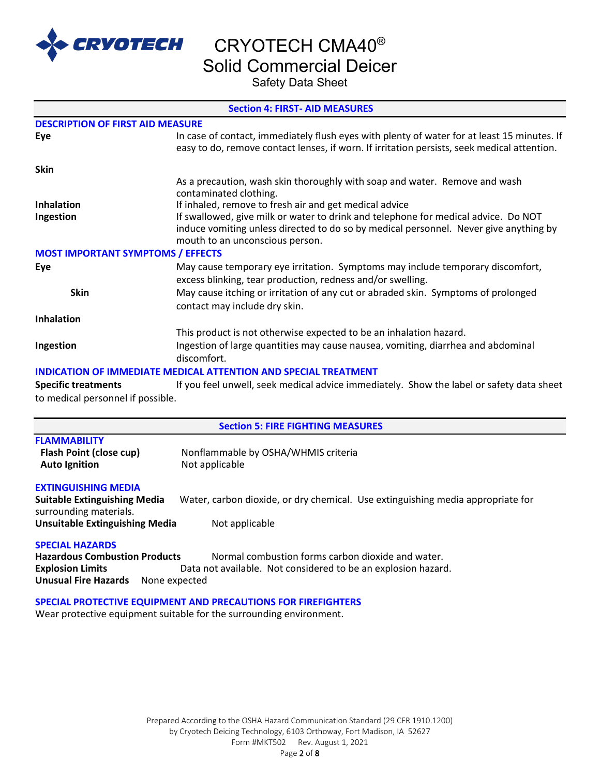

CRVOTECH CRYOTECH CMA40<sup>®</sup> Solid Commercial Deicer

Safety Data Sheet

# **Section 4: FIRST- AID MEASURES**

| <b>DESCRIPTION OF FIRST AID MEASURE</b>  |                                                                                                                                                                                                                |
|------------------------------------------|----------------------------------------------------------------------------------------------------------------------------------------------------------------------------------------------------------------|
| Eye                                      | In case of contact, immediately flush eyes with plenty of water for at least 15 minutes. If<br>easy to do, remove contact lenses, if worn. If irritation persists, seek medical attention.                     |
| <b>Skin</b>                              |                                                                                                                                                                                                                |
|                                          | As a precaution, wash skin thoroughly with soap and water. Remove and wash<br>contaminated clothing.                                                                                                           |
| <b>Inhalation</b>                        | If inhaled, remove to fresh air and get medical advice                                                                                                                                                         |
| Ingestion                                | If swallowed, give milk or water to drink and telephone for medical advice. Do NOT<br>induce vomiting unless directed to do so by medical personnel. Never give anything by<br>mouth to an unconscious person. |
| <b>MOST IMPORTANT SYMPTOMS / EFFECTS</b> |                                                                                                                                                                                                                |
| Eye                                      | May cause temporary eye irritation. Symptoms may include temporary discomfort,<br>excess blinking, tear production, redness and/or swelling.                                                                   |
| <b>Skin</b>                              | May cause itching or irritation of any cut or abraded skin. Symptoms of prolonged<br>contact may include dry skin.                                                                                             |
| <b>Inhalation</b>                        |                                                                                                                                                                                                                |
|                                          | This product is not otherwise expected to be an inhalation hazard.                                                                                                                                             |
| Ingestion                                | Ingestion of large quantities may cause nausea, vomiting, diarrhea and abdominal<br>discomfort.                                                                                                                |
|                                          | INDICATION OF IMMEDIATE MEDICAL ATTENTION AND SPECIAL TREATMENT                                                                                                                                                |
|                                          | the film in the three that all the film is the                                                                                                                                                                 |

**Specific treatments** If you feel unwell, seek medical advice immediately. Show the label or safety data sheet to medical personnel if possible.

| <b>Section 5: FIRE FIGHTING MEASURES</b>                                                                                                  |                                                                                                                    |  |  |
|-------------------------------------------------------------------------------------------------------------------------------------------|--------------------------------------------------------------------------------------------------------------------|--|--|
| <b>FLAMMABILITY</b><br><b>Flash Point (close cup)</b><br><b>Auto Ignition</b>                                                             | Nonflammable by OSHA/WHMIS criteria<br>Not applicable                                                              |  |  |
| <b>EXTINGUISHING MEDIA</b><br><b>Suitable Extinguishing Media</b><br>surrounding materials.<br><b>Unsuitable Extinguishing Media</b>      | Water, carbon dioxide, or dry chemical. Use extinguishing media appropriate for<br>Not applicable                  |  |  |
| <b>SPECIAL HAZARDS</b><br><b>Hazardous Combustion Products</b><br><b>Explosion Limits</b><br><b>Unusual Fire Hazards</b><br>None expected | Normal combustion forms carbon dioxide and water.<br>Data not available. Not considered to be an explosion hazard. |  |  |

#### **SPECIAL PROTECTIVE EQUIPMENT AND PRECAUTIONS FOR FIREFIGHTERS**

Wear protective equipment suitable for the surrounding environment.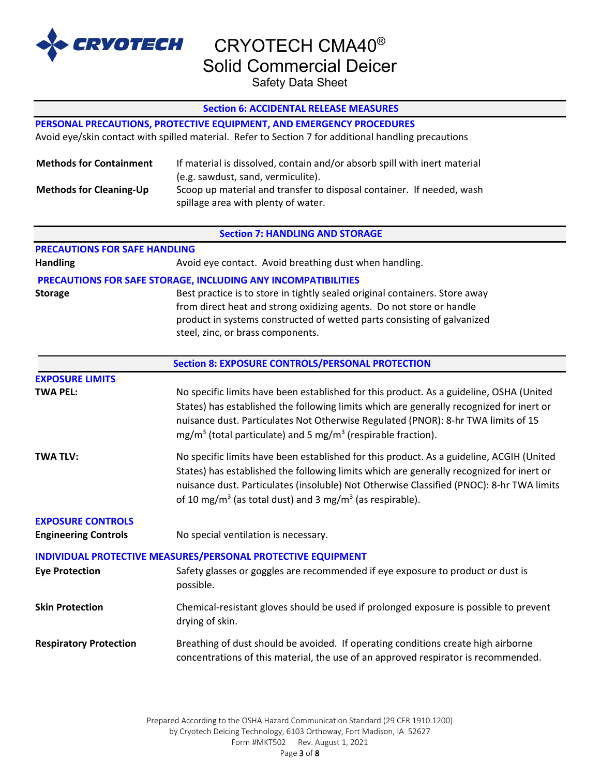

CRYOTECH CRYOTECH CMA40<sup>®</sup> Solid Commercial Deicer

Safety Data Sheet

# **Section 6: ACCIDENTAL RELEASE MEASURES**

|                                                                  | PERSONAL PRECAUTIONS, PROTECTIVE EQUIPMENT, AND EMERGENCY PROCEDURES                                                                                                                                                                                                                                                                                                 |
|------------------------------------------------------------------|----------------------------------------------------------------------------------------------------------------------------------------------------------------------------------------------------------------------------------------------------------------------------------------------------------------------------------------------------------------------|
|                                                                  | Avoid eye/skin contact with spilled material. Refer to Section 7 for additional handling precautions                                                                                                                                                                                                                                                                 |
| <b>Methods for Containment</b><br><b>Methods for Cleaning-Up</b> | If material is dissolved, contain and/or absorb spill with inert material<br>(e.g. sawdust, sand, vermiculite).<br>Scoop up material and transfer to disposal container. If needed, wash<br>spillage area with plenty of water.                                                                                                                                      |
|                                                                  | <b>Section 7: HANDLING AND STORAGE</b>                                                                                                                                                                                                                                                                                                                               |
| <b>PRECAUTIONS FOR SAFE HANDLING</b>                             |                                                                                                                                                                                                                                                                                                                                                                      |
| <b>Handling</b>                                                  | Avoid eye contact. Avoid breathing dust when handling.                                                                                                                                                                                                                                                                                                               |
|                                                                  | PRECAUTIONS FOR SAFE STORAGE, INCLUDING ANY INCOMPATIBILITIES                                                                                                                                                                                                                                                                                                        |
| <b>Storage</b>                                                   | Best practice is to store in tightly sealed original containers. Store away<br>from direct heat and strong oxidizing agents. Do not store or handle<br>product in systems constructed of wetted parts consisting of galvanized<br>steel, zinc, or brass components.                                                                                                  |
|                                                                  | <b>Section 8: EXPOSURE CONTROLS/PERSONAL PROTECTION</b>                                                                                                                                                                                                                                                                                                              |
| <b>EXPOSURE LIMITS</b><br><b>TWA PEL:</b>                        | No specific limits have been established for this product. As a guideline, OSHA (United<br>States) has established the following limits which are generally recognized for inert or<br>nuisance dust. Particulates Not Otherwise Regulated (PNOR): 8-hr TWA limits of 15<br>mg/m <sup>3</sup> (total particulate) and 5 mg/m <sup>3</sup> (respirable fraction).     |
| <b>TWA TLV:</b>                                                  | No specific limits have been established for this product. As a guideline, ACGIH (United<br>States) has established the following limits which are generally recognized for inert or<br>nuisance dust. Particulates (insoluble) Not Otherwise Classified (PNOC): 8-hr TWA limits<br>of 10 mg/m <sup>3</sup> (as total dust) and 3 mg/m <sup>3</sup> (as respirable). |
| <b>EXPOSURE CONTROLS</b><br><b>Engineering Controls</b>          | No special ventilation is necessary.                                                                                                                                                                                                                                                                                                                                 |
| <b>Eye Protection</b>                                            | <b>INDIVIDUAL PROTECTIVE MEASURES/PERSONAL PROTECTIVE EQUIPMENT</b><br>Safety glasses or goggles are recommended if eye exposure to product or dust is<br>possible.                                                                                                                                                                                                  |
| <b>Skin Protection</b>                                           | Chemical-resistant gloves should be used if prolonged exposure is possible to prevent<br>drying of skin.                                                                                                                                                                                                                                                             |
| <b>Respiratory Protection</b>                                    | Breathing of dust should be avoided. If operating conditions create high airborne<br>concentrations of this material, the use of an approved respirator is recommended.                                                                                                                                                                                              |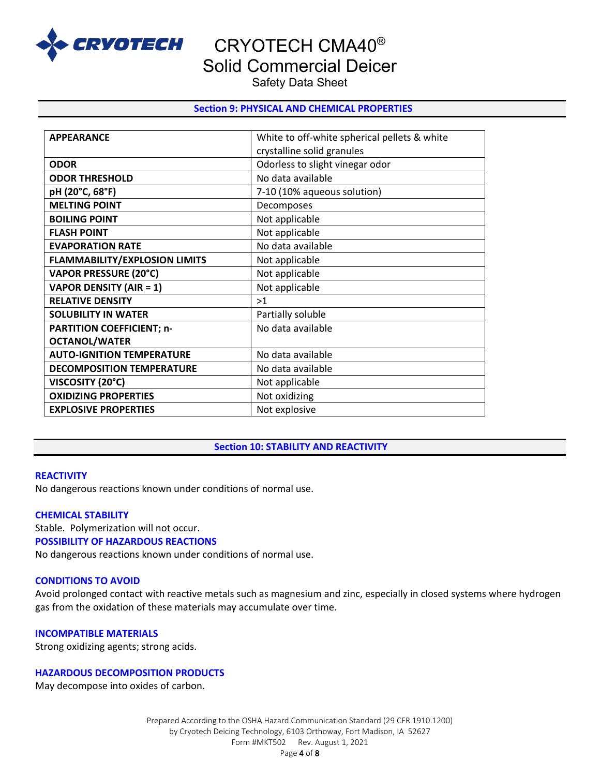

CRYOTECH CRYOTECH CMA40<sup>®</sup> Solid Commercial Deicer

Safety Data Sheet

# **Section 9: PHYSICAL AND CHEMICAL PROPERTIES**

| <b>APPEARANCE</b>                | White to off-white spherical pellets & white |
|----------------------------------|----------------------------------------------|
|                                  | crystalline solid granules                   |
| <b>ODOR</b>                      | Odorless to slight vinegar odor              |
| <b>ODOR THRESHOLD</b>            | No data available                            |
| pH (20°C, 68°F)                  | 7-10 (10% aqueous solution)                  |
| <b>MELTING POINT</b>             | Decomposes                                   |
| <b>BOILING POINT</b>             | Not applicable                               |
| <b>FLASH POINT</b>               | Not applicable                               |
| <b>EVAPORATION RATE</b>          | No data available                            |
| FLAMMABILITY/EXPLOSION LIMITS    | Not applicable                               |
| <b>VAPOR PRESSURE (20°C)</b>     | Not applicable                               |
| <b>VAPOR DENSITY (AIR = 1)</b>   | Not applicable                               |
| <b>RELATIVE DENSITY</b>          | >1                                           |
| <b>SOLUBILITY IN WATER</b>       | Partially soluble                            |
| <b>PARTITION COEFFICIENT; n-</b> | No data available                            |
| <b>OCTANOL/WATER</b>             |                                              |
| <b>AUTO-IGNITION TEMPERATURE</b> | No data available                            |
| <b>DECOMPOSITION TEMPERATURE</b> | No data available                            |
| VISCOSITY (20°C)                 | Not applicable                               |
| <b>OXIDIZING PROPERTIES</b>      | Not oxidizing                                |
| <b>EXPLOSIVE PROPERTIES</b>      | Not explosive                                |
|                                  |                                              |

#### **Section 10: STABILITY AND REACTIVITY**

#### **REACTIVITY**

No dangerous reactions known under conditions of normal use.

#### **CHEMICAL STABILITY**

Stable. Polymerization will not occur. **POSSIBILITY OF HAZARDOUS REACTIONS** No dangerous reactions known under conditions of normal use.

#### **CONDITIONS TO AVOID**

Avoid prolonged contact with reactive metals such as magnesium and zinc, especially in closed systems where hydrogen gas from the oxidation of these materials may accumulate over time.

#### **INCOMPATIBLE MATERIALS**

Strong oxidizing agents; strong acids.

#### **HAZARDOUS DECOMPOSITION PRODUCTS**

May decompose into oxides of carbon.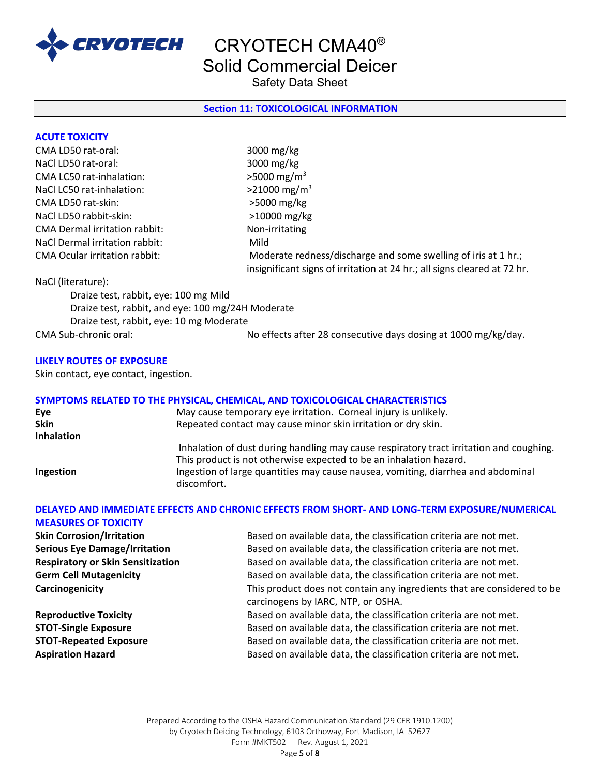

CRYOTECH CMA40®

Solid Commercial Deicer

Safety Data Sheet

# **Section 11: TOXICOLOGICAL INFORMATION**

#### **ACUTE TOXICITY**

CMA LD50 rat-oral: 3000 mg/kg NaCl LD50 rat-oral: 3000 mg/kg CMA LC50 rat-inhalation:  $>5000 \text{ mg/m}^3$ NaCl LC50 rat-inhalation:  $>21000 \text{ mg/m}^3$ CMA LD50 rat-skin:  $>5000$  mg/kg NaCl LD50 rabbit-skin:  $>10000$  mg/kg CMA Dermal irritation rabbit: Non-irritating NaCl Dermal irritation rabbit: Mild

CMA Ocular irritation rabbit: Moderate redness/discharge and some swelling of iris at 1 hr.; insignificant signs of irritation at 24 hr.; all signs cleared at 72 hr.

# NaCl (literature):

Draize test, rabbit, eye: 100 mg Mild Draize test, rabbit, and eye: 100 mg/24H Moderate Draize test, rabbit, eye: 10 mg Moderate CMA Sub-chronic oral: No effects after 28 consecutive days dosing at 1000 mg/kg/day.

# **LIKELY ROUTES OF EXPOSURE**

Skin contact, eye contact, ingestion.

#### **SYMPTOMS RELATED TO THE PHYSICAL, CHEMICAL, AND TOXICOLOGICAL CHARACTERISTICS**

| Eye<br><b>Skin</b><br><b>Inhalation</b> | May cause temporary eye irritation. Corneal injury is unlikely.<br>Repeated contact may cause minor skin irritation or dry skin.                                                                                                                                 |
|-----------------------------------------|------------------------------------------------------------------------------------------------------------------------------------------------------------------------------------------------------------------------------------------------------------------|
| Ingestion                               | Inhalation of dust during handling may cause respiratory tract irritation and coughing.<br>This product is not otherwise expected to be an inhalation hazard.<br>Ingestion of large quantities may cause nausea, vomiting, diarrhea and abdominal<br>discomfort. |

# **DELAYED AND IMMEDIATE EFFECTS AND CHRONIC EFFECTS FROM SHORT- AND LONG-TERM EXPOSURE/NUMERICAL MEASURES OF TOXICITY**

| <b>Skin Corrosion/Irritation</b>         | Based on available data, the classification criteria are not met.                                             |
|------------------------------------------|---------------------------------------------------------------------------------------------------------------|
| <b>Serious Eye Damage/Irritation</b>     | Based on available data, the classification criteria are not met.                                             |
| <b>Respiratory or Skin Sensitization</b> | Based on available data, the classification criteria are not met.                                             |
| <b>Germ Cell Mutagenicity</b>            | Based on available data, the classification criteria are not met.                                             |
| Carcinogenicity                          | This product does not contain any ingredients that are considered to be<br>carcinogens by IARC, NTP, or OSHA. |
| <b>Reproductive Toxicity</b>             | Based on available data, the classification criteria are not met.                                             |
| <b>STOT-Single Exposure</b>              | Based on available data, the classification criteria are not met.                                             |
| <b>STOT-Repeated Exposure</b>            | Based on available data, the classification criteria are not met.                                             |
| <b>Aspiration Hazard</b>                 | Based on available data, the classification criteria are not met.                                             |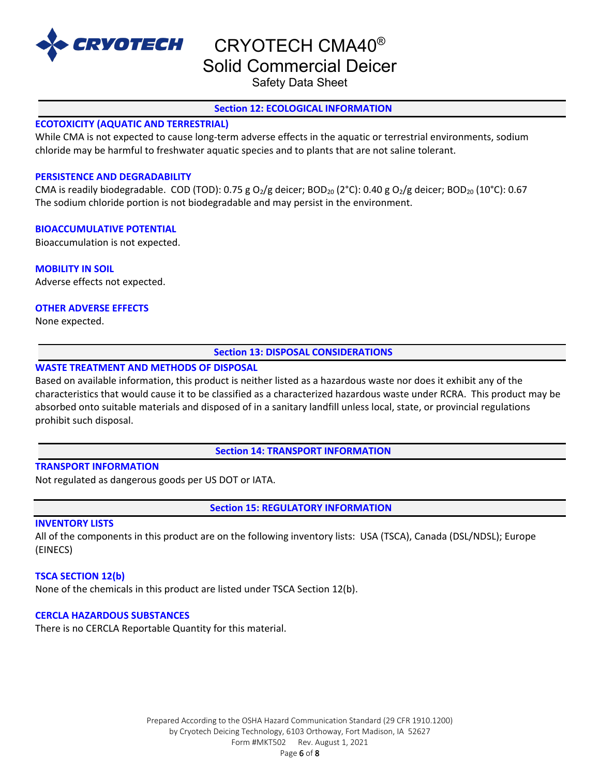

CRYOTECH CMA40® Solid Commercial Deicer

Safety Data Sheet

#### **Section 12: ECOLOGICAL INFORMATION**

#### **ECOTOXICITY (AQUATIC AND TERRESTRIAL)**

While CMA is not expected to cause long-term adverse effects in the aquatic or terrestrial environments, sodium chloride may be harmful to freshwater aquatic species and to plants that are not saline tolerant.

#### **PERSISTENCE AND DEGRADABILITY**

CMA is readily biodegradable. COD (TOD): 0.75 g O<sub>2</sub>/g deicer; BOD<sub>20</sub> (2°C): 0.40 g O<sub>2</sub>/g deicer; BOD<sub>20</sub> (10°C): 0.67 The sodium chloride portion is not biodegradable and may persist in the environment.

#### **BIOACCUMULATIVE POTENTIAL**

Bioaccumulation is not expected.

#### **MOBILITY IN SOIL**

Adverse effects not expected.

#### **OTHER ADVERSE EFFECTS**

None expected.

#### **Section 13: DISPOSAL CONSIDERATIONS**

#### **WASTE TREATMENT AND METHODS OF DISPOSAL**

Based on available information, this product is neither listed as a hazardous waste nor does it exhibit any of the characteristics that would cause it to be classified as a characterized hazardous waste under RCRA. This product may be absorbed onto suitable materials and disposed of in a sanitary landfill unless local, state, or provincial regulations prohibit such disposal.

**Section 14: TRANSPORT INFORMATION**

# **TRANSPORT INFORMATION**

Not regulated as dangerous goods per US DOT or IATA.

**Section 15: REGULATORY INFORMATION**

#### **INVENTORY LISTS**

All of the components in this product are on the following inventory lists: USA (TSCA), Canada (DSL/NDSL); Europe (EINECS)

#### **TSCA SECTION 12(b)**

None of the chemicals in this product are listed under TSCA Section 12(b).

#### **CERCLA HAZARDOUS SUBSTANCES**

There is no CERCLA Reportable Quantity for this material.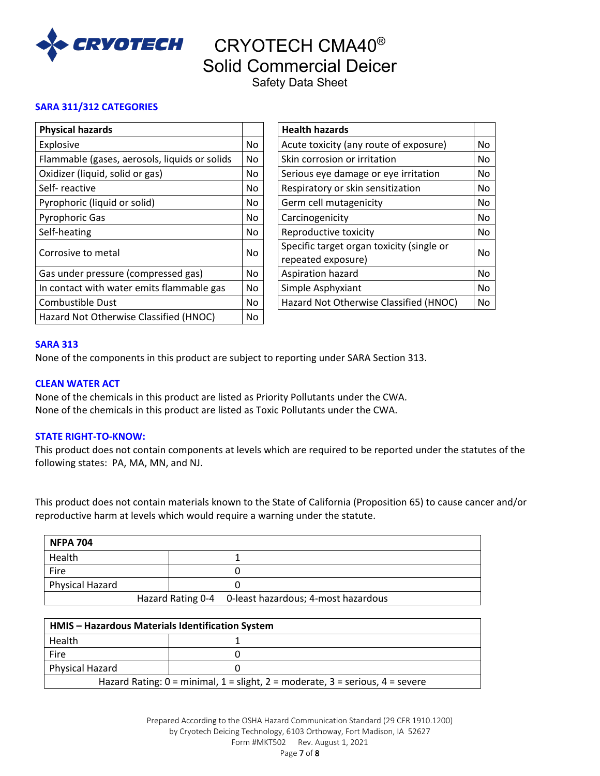

CRYOTECH CRYOTECH CMA40<sup>®</sup> Solid Commercial Deicer

Safety Data Sheet

# **SARA 311/312 CATEGORIES**

| <b>Physical hazards</b>                       |           | <b>Health hazards</b>                                           |    |
|-----------------------------------------------|-----------|-----------------------------------------------------------------|----|
| Explosive                                     | No.       | Acute toxicity (any route of exposure)                          | No |
| Flammable (gases, aerosols, liquids or solids | No        | Skin corrosion or irritation                                    | No |
| Oxidizer (liquid, solid or gas)               | No.       | Serious eye damage or eye irritation                            | No |
| Self-reactive                                 | No        | Respiratory or skin sensitization                               | No |
| Pyrophoric (liquid or solid)                  | No        | Germ cell mutagenicity                                          | No |
| <b>Pyrophoric Gas</b>                         | No.       | Carcinogenicity                                                 | No |
| Self-heating                                  | No        | Reproductive toxicity                                           | No |
| Corrosive to metal                            | <b>No</b> | Specific target organ toxicity (single or<br>repeated exposure) | No |
| Gas under pressure (compressed gas)           | No.       | Aspiration hazard                                               | No |
| In contact with water emits flammable gas     | No        | Simple Asphyxiant                                               | No |
| <b>Combustible Dust</b>                       | No        | Hazard Not Otherwise Classified (HNOC)                          | No |
| Hazard Not Otherwise Classified (HNOC)        | No        |                                                                 |    |

| <b>Health hazards</b>                                           |    |
|-----------------------------------------------------------------|----|
| Acute toxicity (any route of exposure)                          | No |
| Skin corrosion or irritation                                    | No |
| Serious eye damage or eye irritation                            | No |
| Respiratory or skin sensitization                               | No |
| Germ cell mutagenicity                                          | No |
| Carcinogenicity                                                 | No |
| Reproductive toxicity                                           | No |
| Specific target organ toxicity (single or<br>repeated exposure) | N٥ |
| Aspiration hazard                                               | Nο |
| Simple Asphyxiant                                               | No |
| Hazard Not Otherwise Classified (HNOC)                          | No |

#### **SARA 313**

None of the components in this product are subject to reporting under SARA Section 313.

# **CLEAN WATER ACT**

None of the chemicals in this product are listed as Priority Pollutants under the CWA. None of the chemicals in this product are listed as Toxic Pollutants under the CWA.

# **STATE RIGHT-TO-KNOW:**

This product does not contain components at levels which are required to be reported under the statutes of the following states: PA, MA, MN, and NJ.

This product does not contain materials known to the State of California (Proposition 65) to cause cancer and/or reproductive harm at levels which would require a warning under the statute.

| <b>NFPA 704</b> |                                                       |  |
|-----------------|-------------------------------------------------------|--|
| Health          |                                                       |  |
| Fire            |                                                       |  |
| Physical Hazard |                                                       |  |
|                 | Hazard Rating 0-4 0-least hazardous; 4-most hazardous |  |

| <b>HMIS - Hazardous Materials Identification System</b>                                 |  |
|-----------------------------------------------------------------------------------------|--|
| Health                                                                                  |  |
| Fire                                                                                    |  |
| Physical Hazard                                                                         |  |
| Hazard Rating: $0 =$ minimal, $1 =$ slight, $2 =$ moderate, $3 =$ serious, $4 =$ severe |  |

Prepared According to the OSHA Hazard Communication Standard (29 CFR 1910.1200) by Cryotech Deicing Technology, 6103 Orthoway, Fort Madison, IA 52627 Form #MKT502 Rev. August 1, 2021 Page 7 of 8